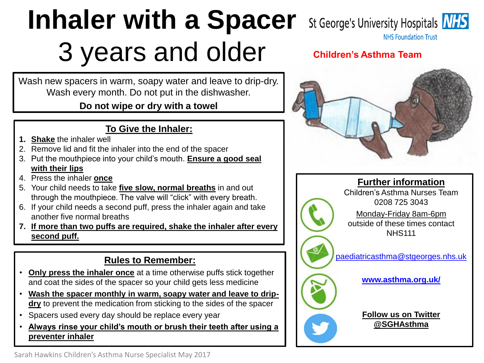# **Inhaler with a Spacer** 3 years and older

Wash new spacers in warm, soapy water and leave to drip-dry. Wash every month. Do not put in the dishwasher.

### **Do not wipe or dry with a towel**

# **To Give the Inhaler:**

- **1. Shake** the inhaler well
- 2. Remove lid and fit the inhaler into the end of the spacer
- 3. Put the mouthpiece into your child's mouth. **Ensure a good seal with their lips**
- 4. Press the inhaler **once**
- 5. Your child needs to take **five slow, normal breaths** in and out through the mouthpiece. The valve will "click" with every breath.
- 6. If your child needs a second puff, press the inhaler again and take another five normal breaths
- **7. If more than two puffs are required, shake the inhaler after every second puff.**

# **Rules to Remember:**

- **Only press the inhaler once** at a time otherwise puffs stick together and coat the sides of the spacer so your child gets less medicine
- **Wash the spacer monthly in warm, soapy water and leave to dripdry** to prevent the medication from sticking to the sides of the spacer
- Spacers used every day should be replace every year
- **Always rinse your child's mouth or brush their teeth after using a preventer inhaler**

St George's University Hospitals **NHS** 

**NHS Foundation Trust** 

# **Children's Asthma Team**